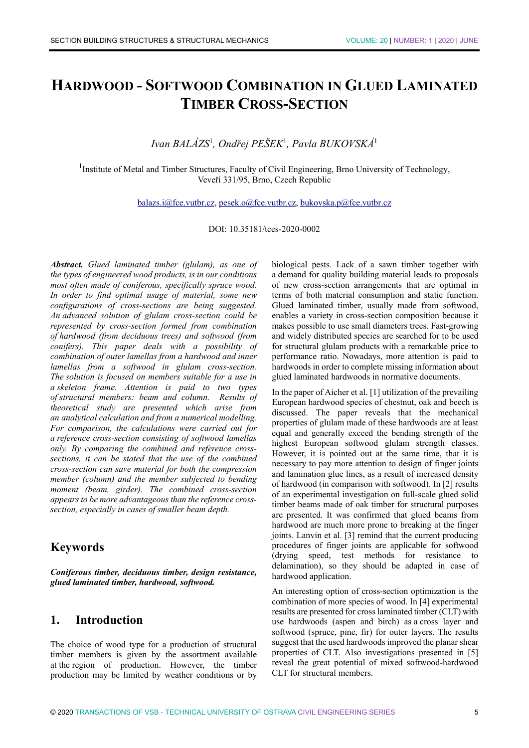# **HARDWOOD - SOFTWOOD COMBINATION IN GLUED LAMINATED TIMBER CROSS-SECTION**

# *Ivan BALÁZS*<sup>1</sup> *, Ondřej PEŠEK*<sup>1</sup> *, Pavla BUKOVSKÁ*<sup>1</sup>

<sup>1</sup>Institute of Metal and Timber Structures, Faculty of Civil Engineering, Brno University of Technology, Veveří 331/95, Brno, Czech Republic

balazs.i@fce.vutbr.cz, pesek.o@fce.vutbr.cz, bukovska.p@fce.vutbr.cz

DOI: 10.35181/tces-2020-0002

*Abstract. Glued laminated timber (glulam), as one of the types of engineered wood products, is in our conditions most often made of coniferous, specifically spruce wood. In order to find optimal usage of material, some new configurations of cross-sections are being suggested. An advanced solution of glulam cross-section could be represented by cross-section formed from combination of hardwood (from deciduous trees) and softwood (from conifers). This paper deals with a possibility of combination of outer lamellas from a hardwood and inner lamellas from a softwood in glulam cross-section. The solution is focused on members suitable for a use in a skeleton frame. Attention is paid to two types of structural members: beam and column. Results of theoretical study are presented which arise from an analytical calculation and from a numerical modelling. For comparison, the calculations were carried out for a reference cross-section consisting of softwood lamellas only. By comparing the combined and reference crosssections, it can be stated that the use of the combined cross-section can save material for both the compression member (column) and the member subjected to bending moment (beam, girder). The combined cross-section appears to be more advantageous than the reference crosssection, especially in cases of smaller beam depth.* 

# **Keywords**

*Coniferous timber, deciduous timber, design resistance, glued laminated timber, hardwood, softwood.* 

# **1. Introduction**

The choice of wood type for a production of structural timber members is given by the assortment available at the region of production. However, the timber production may be limited by weather conditions or by

biological pests. Lack of a sawn timber together with a demand for quality building material leads to proposals of new cross-section arrangements that are optimal in terms of both material consumption and static function. Glued laminated timber, usually made from softwood, enables a variety in cross-section composition because it makes possible to use small diameters trees. Fast-growing and widely distributed species are searched for to be used for structural glulam products with a remarkable price to performance ratio. Nowadays, more attention is paid to hardwoods in order to complete missing information about glued laminated hardwoods in normative documents.

In the paper of Aicher et al. [1] utilization of the prevailing European hardwood species of chestnut, oak and beech is discussed. The paper reveals that the mechanical properties of glulam made of these hardwoods are at least equal and generally exceed the bending strength of the highest European softwood glulam strength classes. However, it is pointed out at the same time, that it is necessary to pay more attention to design of finger joints and lamination glue lines, as a result of increased density of hardwood (in comparison with softwood). In [2] results of an experimental investigation on full-scale glued solid timber beams made of oak timber for structural purposes are presented. It was confirmed that glued beams from hardwood are much more prone to breaking at the finger joints. Lanvin et al. [3] remind that the current producing procedures of finger joints are applicable for softwood (drying speed, test methods for resistance to delamination), so they should be adapted in case of hardwood application.

An interesting option of cross-section optimization is the combination of more species of wood. In [4] experimental results are presented for cross laminated timber (CLT) with use hardwoods (aspen and birch) as a cross layer and softwood (spruce, pine, fir) for outer layers. The results suggest that the used hardwoods improved the planar shear properties of CLT. Also investigations presented in [5] reveal the great potential of mixed softwood-hardwood CLT for structural members.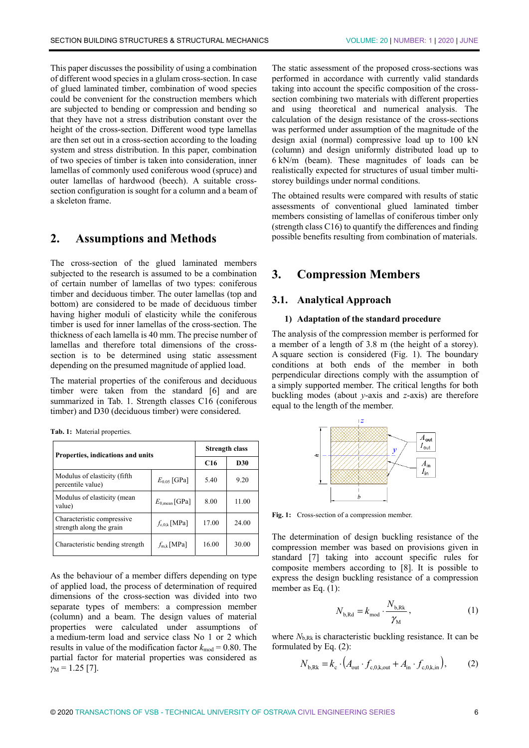This paper discusses the possibility of using a combination of different wood species in a glulam cross-section. In case of glued laminated timber, combination of wood species could be convenient for the construction members which are subjected to bending or compression and bending so that they have not a stress distribution constant over the height of the cross-section. Different wood type lamellas are then set out in a cross-section according to the loading system and stress distribution. In this paper, combination of two species of timber is taken into consideration, inner lamellas of commonly used coniferous wood (spruce) and outer lamellas of hardwood (beech). A suitable crosssection configuration is sought for a column and a beam of a skeleton frame.

# **2. Assumptions and Methods**

The cross-section of the glued laminated members subjected to the research is assumed to be a combination of certain number of lamellas of two types: coniferous timber and deciduous timber. The outer lamellas (top and bottom) are considered to be made of deciduous timber having higher moduli of elasticity while the coniferous timber is used for inner lamellas of the cross-section. The thickness of each lamella is 40 mm. The precise number of lamellas and therefore total dimensions of the crosssection is to be determined using static assessment depending on the presumed magnitude of applied load.

The material properties of the coniferous and deciduous timber were taken from the standard [6] and are summarized in Tab. 1. Strength classes C16 (coniferous timber) and D30 (deciduous timber) were considered.

**Tab. 1:** Material properties.

| Properties, indications and units                      | Strength class            |       |       |
|--------------------------------------------------------|---------------------------|-------|-------|
|                                                        | C <sub>16</sub>           | D30   |       |
| Modulus of elasticity (fifth<br>percentile value)      | $E_{0.05}$ [GPa]          | 5.40  | 9.20  |
| Modulus of elasticity (mean<br>value)                  | $E_{0,\text{mean}}$ [GPa] | 8.00  | 11.00 |
| Characteristic compressive<br>strength along the grain | $f_{c,0,k}$ [MPa]         | 17.00 | 24.00 |
| Characteristic bending strength                        | $f_{m,k}$ [MPa]           | 16.00 | 30.00 |

As the behaviour of a member differs depending on type of applied load, the process of determination of required dimensions of the cross-section was divided into two separate types of members: a compression member (column) and a beam. The design values of material properties were calculated under assumptions of a medium-term load and service class No 1 or 2 which results in value of the modification factor  $k_{\text{mod}} = 0.80$ . The partial factor for material properties was considered as  $\gamma_M = 1.25$  [7].

The static assessment of the proposed cross-sections was performed in accordance with currently valid standards taking into account the specific composition of the crosssection combining two materials with different properties and using theoretical and numerical analysis. The calculation of the design resistance of the cross-sections was performed under assumption of the magnitude of the design axial (normal) compressive load up to 100 kN (column) and design uniformly distributed load up to 6 kN/m (beam). These magnitudes of loads can be realistically expected for structures of usual timber multistorey buildings under normal conditions.

The obtained results were compared with results of static assessments of conventional glued laminated timber members consisting of lamellas of coniferous timber only (strength class C16) to quantify the differences and finding possible benefits resulting from combination of materials.

### **3. Compression Members**

#### **3.1. Analytical Approach**

#### **1) Adaptation of the standard procedure**

The analysis of the compression member is performed for a member of a length of 3.8 m (the height of a storey). A square section is considered (Fig. 1). The boundary conditions at both ends of the member in both perpendicular directions comply with the assumption of a simply supported member. The critical lengths for both buckling modes (about *y*-axis and *z*-axis) are therefore equal to the length of the member.



**Fig. 1:** Cross-section of a compression member.

The determination of design buckling resistance of the compression member was based on provisions given in standard [7] taking into account specific rules for composite members according to [8]. It is possible to express the design buckling resistance of a compression member as Eq. (1):

$$
N_{\text{b,Rd}} = k_{\text{mod}} \cdot \frac{N_{\text{b,Rk}}}{\gamma_{\text{M}}},\tag{1}
$$

where  $N_{b, Rk}$  is characteristic buckling resistance. It can be formulated by Eq. (2):

$$
N_{\text{b,Rk}} = k_{\text{c}} \cdot \left( A_{\text{out}} \cdot f_{\text{c},0,\text{k,out}} + A_{\text{in}} \cdot f_{\text{c},0,\text{k,in}} \right),\tag{2}
$$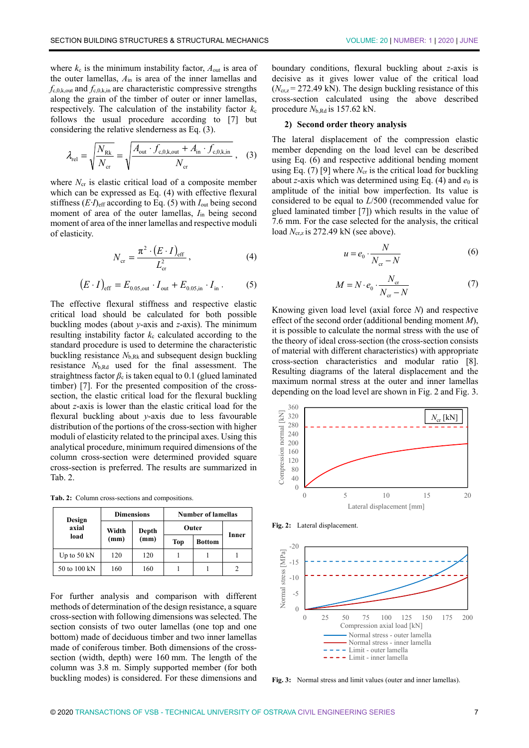where  $k_c$  is the minimum instability factor,  $A_{out}$  is area of the outer lamellas, *A*in is area of the inner lamellas and  $f_{c,0,k,out}$  and  $f_{c,0,k,in}$  are characteristic compressive strengths along the grain of the timber of outer or inner lamellas, respectively. The calculation of the instability factor  $k_c$ follows the usual procedure according to [7] but considering the relative slenderness as Eq. (3).

$$
\lambda_{\text{rel}} = \sqrt{\frac{N_{\text{Rk}}}{N_{\text{cr}}}} = \sqrt{\frac{A_{\text{out}} \cdot f_{\text{c},0,\text{k,out}} + A_{\text{in}} \cdot f_{\text{c},0,\text{k,in}}}{N_{\text{cr}}}},
$$
 (3)

where  $N_{cr}$  is elastic critical load of a composite member which can be expressed as Eq. (4) with effective flexural stiffness  $(E \cdot I)_{\text{eff}}$  according to Eq. (5) with  $I_{\text{out}}$  being second moment of area of the outer lamellas, *I*in being second moment of area of the inner lamellas and respective moduli of elasticity.

$$
N_{\rm cr} = \frac{\pi^2 \cdot (E \cdot I)_{\rm eff}}{L_{\rm cr}^2},\tag{4}
$$

$$
(E \cdot I)_{\text{eff}} = E_{0.05, \text{out}} \cdot I_{\text{out}} + E_{0.05, \text{in}} \cdot I_{\text{in}}. \tag{5}
$$

The effective flexural stiffness and respective elastic critical load should be calculated for both possible buckling modes (about *y*-axis and *z*-axis). The minimum resulting instability factor  $k_c$  calculated according to the standard procedure is used to determine the characteristic buckling resistance  $N_{b, Rk}$  and subsequent design buckling resistance *N*b,Rd used for the final assessment. The straightness factor  $\beta_c$  is taken equal to 0.1 (glued laminated timber) [7]. For the presented composition of the crosssection, the elastic critical load for the flexural buckling about *z*-axis is lower than the elastic critical load for the flexural buckling about *y*-axis due to less favourable distribution of the portions of the cross-section with higher moduli of elasticity related to the principal axes. Using this analytical procedure, minimum required dimensions of the column cross-section were determined provided square cross-section is preferred. The results are summarized in Tab. 2.

**Tab. 2:** Column cross-sections and compositions.

| Design                | <b>Dimensions</b> |      | <b>Number of lamellas</b> |               |       |  |
|-----------------------|-------------------|------|---------------------------|---------------|-------|--|
| axial                 | Width<br>Depth    |      |                           | Outer         | Inner |  |
| load                  | (mm)              | (mm) | <b>Top</b>                | <b>Bottom</b> |       |  |
| Up to $50 \text{ kN}$ | 120               | 120  |                           |               |       |  |
| 50 to 100 kN          | 160               | 160  |                           |               |       |  |

For further analysis and comparison with different methods of determination of the design resistance, a square cross-section with following dimensions was selected. The section consists of two outer lamellas (one top and one bottom) made of deciduous timber and two inner lamellas made of coniferous timber. Both dimensions of the crosssection (width, depth) were 160 mm. The length of the column was 3.8 m. Simply supported member (for both buckling modes) is considered. For these dimensions and boundary conditions, flexural buckling about *z*-axis is decisive as it gives lower value of the critical load  $(N_{\rm cr, z} = 272.49 \text{ kN})$ . The design buckling resistance of this cross-section calculated using the above described procedure  $N_{\rm b, Rd}$  is 157.62 kN.

#### **2) Second order theory analysis**

The lateral displacement of the compression elastic member depending on the load level can be described using Eq. (6) and respective additional bending moment using Eq. (7) [9] where  $N_{cr}$  is the critical load for buckling about *z*-axis which was determined using Eq. (4) and  $e_0$  is amplitude of the initial bow imperfection. Its value is considered to be equal to *L*/500 (recommended value for glued laminated timber [7]) which results in the value of 7.6 mm. For the case selected for the analysis, the critical load *N*<sub>cr,z</sub> is 272.49 kN (see above).

$$
u = e_0 \cdot \frac{N}{N_{cr} - N} \tag{6}
$$

$$
M = N \cdot e_0 \cdot \frac{N_{\text{cr}}}{N_{\text{cr}} - N} \tag{7}
$$

Knowing given load level (axial force *N*) and respective effect of the second order (additional bending moment *M*), it is possible to calculate the normal stress with the use of the theory of ideal cross-section (the cross-section consists of material with different characteristics) with appropriate cross-section characteristics and modular ratio [8]. Resulting diagrams of the lateral displacement and the maximum normal stress at the outer and inner lamellas depending on the load level are shown in Fig. 2 and Fig. 3.



**Fig. 2:** Lateral displacement.



**Fig. 3:** Normal stress and limit values (outer and inner lamellas).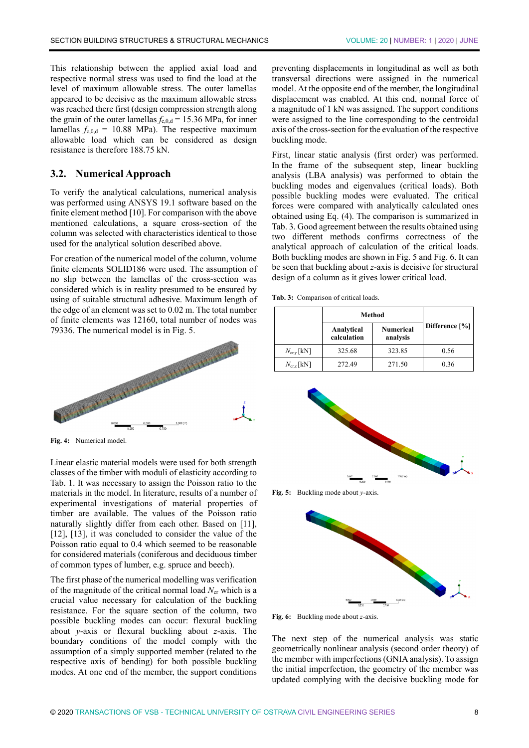This relationship between the applied axial load and respective normal stress was used to find the load at the level of maximum allowable stress. The outer lamellas appeared to be decisive as the maximum allowable stress was reached there first (design compression strength along the grain of the outer lamellas  $f_{c,0,d} = 15.36 \text{ MPa}$ , for inner lamellas  $f_{c,0,d} = 10.88$  MPa). The respective maximum allowable load which can be considered as design resistance is therefore 188.75 kN.

#### **3.2. Numerical Approach**

To verify the analytical calculations, numerical analysis was performed using ANSYS 19.1 software based on the finite element method [10]. For comparison with the above mentioned calculations, a square cross-section of the column was selected with characteristics identical to those used for the analytical solution described above.

For creation of the numerical model of the column, volume finite elements SOLID186 were used. The assumption of no slip between the lamellas of the cross-section was considered which is in reality presumed to be ensured by using of suitable structural adhesive. Maximum length of the edge of an element was set to 0.02 m. The total number of finite elements was 12160, total number of nodes was 79336. The numerical model is in Fig. 5.



**Fig. 4:** Numerical model.

Linear elastic material models were used for both strength classes of the timber with moduli of elasticity according to Tab. 1. It was necessary to assign the Poisson ratio to the materials in the model. In literature, results of a number of experimental investigations of material properties of timber are available. The values of the Poisson ratio naturally slightly differ from each other. Based on [11], [12], [13], it was concluded to consider the value of the Poisson ratio equal to 0.4 which seemed to be reasonable for considered materials (coniferous and deciduous timber of common types of lumber, e.g. spruce and beech).

The first phase of the numerical modelling was verification of the magnitude of the critical normal load  $N_{cr}$  which is a crucial value necessary for calculation of the buckling resistance. For the square section of the column, two possible buckling modes can occur: flexural buckling about *y*-axis or flexural buckling about *z*-axis. The boundary conditions of the model comply with the assumption of a simply supported member (related to the respective axis of bending) for both possible buckling modes. At one end of the member, the support conditions preventing displacements in longitudinal as well as both transversal directions were assigned in the numerical model. At the opposite end of the member, the longitudinal displacement was enabled. At this end, normal force of a magnitude of 1 kN was assigned. The support conditions were assigned to the line corresponding to the centroidal axis of the cross-section for the evaluation of the respective buckling mode.

First, linear static analysis (first order) was performed. In the frame of the subsequent step, linear buckling analysis (LBA analysis) was performed to obtain the buckling modes and eigenvalues (critical loads). Both possible buckling modes were evaluated. The critical forces were compared with analytically calculated ones obtained using Eq. (4). The comparison is summarized in Tab. 3. Good agreement between the results obtained using two different methods confirms correctness of the analytical approach of calculation of the critical loads. Both buckling modes are shown in Fig. 5 and Fig. 6. It can be seen that buckling about *z*-axis is decisive for structural design of a column as it gives lower critical load.

**Tab. 3:** Comparison of critical loads.

|                      | Method                    |                              |                |  |
|----------------------|---------------------------|------------------------------|----------------|--|
|                      | Analytical<br>calculation | <b>Numerical</b><br>analysis | Difference [%] |  |
| $N_{\rm cr, v}$ [kN] | 325.68                    | 323.85                       | 0.56           |  |
| $N_{\rm crz}$ [kN]   | 272.49                    | 271.50                       | 0.36           |  |



**Fig. 5:** Buckling mode about *y*-axis.



**Fig. 6:** Buckling mode about *z*-axis.

The next step of the numerical analysis was static geometrically nonlinear analysis (second order theory) of the member with imperfections (GNIA analysis). To assign the initial imperfection, the geometry of the member was updated complying with the decisive buckling mode for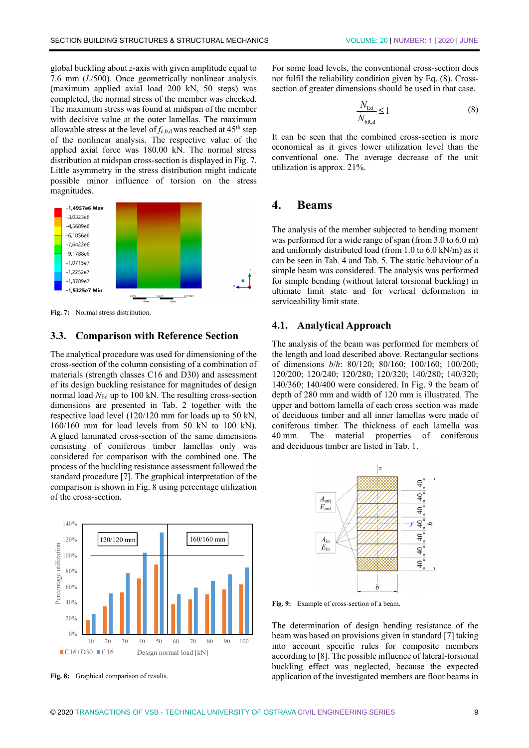global buckling about *z*-axis with given amplitude equal to 7.6 mm (*L*/500). Once geometrically nonlinear analysis (maximum applied axial load 200 kN, 50 steps) was completed, the normal stress of the member was checked. The maximum stress was found at midspan of the member with decisive value at the outer lamellas. The maximum allowable stress at the level of  $f_{c,0,d}$  was reached at  $45<sup>th</sup>$  step of the nonlinear analysis. The respective value of the applied axial force was 180.00 kN. The normal stress distribution at midspan cross-section is displayed in Fig. 7. Little asymmetry in the stress distribution might indicate possible minor influence of torsion on the stress magnitudes.



**Fig. 7:** Normal stress distribution.

#### **3.3. Comparison with Reference Section**

The analytical procedure was used for dimensioning of the cross-section of the column consisting of a combination of materials (strength classes C16 and D30) and assessment of its design buckling resistance for magnitudes of design normal load  $N_{\text{Ed}}$  up to 100 kN. The resulting cross-section dimensions are presented in Tab. 2 together with the respective load level (120/120 mm for loads up to 50 kN, 160/160 mm for load levels from 50 kN to 100 kN). A glued laminated cross-section of the same dimensions consisting of coniferous timber lamellas only was considered for comparison with the combined one. The process of the buckling resistance assessment followed the standard procedure [7]. The graphical interpretation of the comparison is shown in Fig. 8 using percentage utilization of the cross-section.



**Fig. 8:** Graphical comparison of results.

For some load levels, the conventional cross-section does not fulfil the reliability condition given by Eq. (8). Crosssection of greater dimensions should be used in that case.

$$
\frac{N_{\rm Ed}}{N_{\rm bR,d}} \le 1\tag{8}
$$

It can be seen that the combined cross-section is more economical as it gives lower utilization level than the conventional one. The average decrease of the unit utilization is approx. 21%.

### **4. Beams**

The analysis of the member subjected to bending moment was performed for a wide range of span (from 3.0 to 6.0 m) and uniformly distributed load (from 1.0 to 6.0 kN/m) as it can be seen in Tab. 4 and Tab. 5. The static behaviour of a simple beam was considered. The analysis was performed for simple bending (without lateral torsional buckling) in ultimate limit state and for vertical deformation in serviceability limit state.

#### **4.1. Analytical Approach**

The analysis of the beam was performed for members of the length and load described above. Rectangular sections of dimensions *b*/*h*: 80/120; 80/160; 100/160; 100/200; 120/200; 120/240; 120/280; 120/320; 140/280; 140/320; 140/360; 140/400 were considered. In Fig. 9 the beam of depth of 280 mm and width of 120 mm is illustrated. The upper and bottom lamella of each cross section was made of deciduous timber and all inner lamellas were made of coniferous timber. The thickness of each lamella was 40 mm. The material properties of coniferous and deciduous timber are listed in Tab. 1.



**Fig. 9:** Example of cross-section of a beam.

The determination of design bending resistance of the beam was based on provisions given in standard [7] taking into account specific rules for composite members according to [8]. The possible influence of lateral-torsional buckling effect was neglected, because the expected application of the investigated members are floor beams in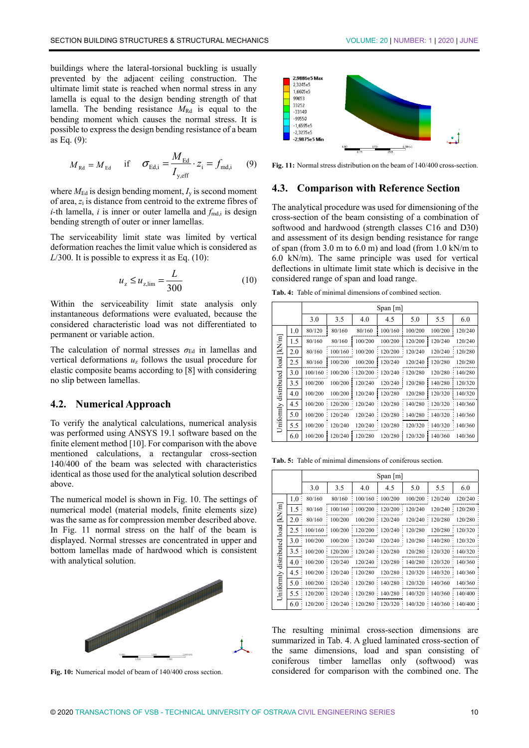buildings where the lateral-torsional buckling is usually prevented by the adjacent ceiling construction. The ultimate limit state is reached when normal stress in any lamella is equal to the design bending strength of that lamella. The bending resistance  $M_{\text{Rd}}$  is equal to the bending moment which causes the normal stress. It is possible to express the design bending resistance of a beam as Eq. (9):

$$
M_{\text{Rd}} = M_{\text{Ed}}
$$
 if  $\sigma_{\text{Ed,i}} = \frac{M_{\text{Ed}}}{I_{\text{y,eff}}} \cdot z_i = f_{\text{md,i}}$  (9)

where  $M_{\text{Ed}}$  is design bending moment,  $I_{\text{v}}$  is second moment of area, *z*i is distance from centroid to the extreme fibres of  $i$ -th lamella,  $i$  is inner or outer lamella and  $f_{\text{md,i}}$  is design bending strength of outer or inner lamellas.

The serviceability limit state was limited by vertical deformation reaches the limit value which is considered as *L*/300. It is possible to express it as Eq. (10):

$$
u_z \le u_{z,\text{lim}} = \frac{L}{300} \tag{10}
$$

Within the serviceability limit state analysis only instantaneous deformations were evaluated, because the considered characteristic load was not differentiated to permanent or variable action.

The calculation of normal stresses  $\sigma_{Ed}$  in lamellas and vertical deformations *u*z follows the usual procedure for elastic composite beams according to [8] with considering no slip between lamellas.

#### **4.2. Numerical Approach**

To verify the analytical calculations, numerical analysis was performed using ANSYS 19.1 software based on the finite element method [10]. For comparison with the above mentioned calculations, a rectangular cross-section 140/400 of the beam was selected with characteristics identical as those used for the analytical solution described above.

The numerical model is shown in Fig. 10. The settings of numerical model (material models, finite elements size) was the same as for compression member described above. In Fig. 11 normal stress on the half of the beam is displayed. Normal stresses are concentrated in upper and bottom lamellas made of hardwood which is consistent with analytical solution.



**Fig. 10:** Numerical model of beam of 140/400 cross section.



**Fig. 11:** Normal stress distribution on the beam of 140/400 cross-section.

#### **4.3. Comparison with Reference Section**

The analytical procedure was used for dimensioning of the cross-section of the beam consisting of a combination of softwood and hardwood (strength classes C16 and D30) and assessment of its design bending resistance for range of span (from 3.0 m to 6.0 m) and load (from 1.0 kN/m to 6.0 kN/m). The same principle was used for vertical deflections in ultimate limit state which is decisive in the considered range of span and load range.

**Tab. 4:** Table of minimal dimensions of combined section.

|                            |     | Span $[m]$ |         |         |         |         |         |         |
|----------------------------|-----|------------|---------|---------|---------|---------|---------|---------|
|                            |     | 3.0        | 3.5     | 4.0     | 4.5     | 5.0     | 5.5     | 6.0     |
|                            | 1.0 | 80/120     | 80/160  | 80/160  | 100/160 | 100/200 | 100/200 | 120/240 |
| [kN/m]                     | 1.5 | 80/160     | 80/160  | 100/200 | 100/200 | 120/200 | 120/240 | 120/240 |
|                            | 2.0 | 80/160     | 100/160 | 100/200 | 120/200 | 120/240 | 120/240 | 120/280 |
| Uniformly distributed load | 2.5 | 80/160     | 100/200 | 100/200 | 120/240 | 120/240 | 120/280 | 120/280 |
|                            | 3.0 | 100/160    | 100/200 | 120/200 | 120/240 | 120/280 | 120/280 | 140/280 |
|                            | 3.5 | 100/200    | 100/200 | 120/240 | 120/240 | 120/280 | 140/280 | 120/320 |
|                            | 4.0 | 100/200    | 100/200 | 120/240 | 120/280 | 120/280 | 120/320 | 140/320 |
|                            | 4.5 | 100/200    | 120/200 | 120/240 | 120/280 | 140/280 | 120/320 | 140/360 |
|                            | 5.0 | 100/200    | 120/240 | 120/240 | 120/280 | 140/280 | 140/320 | 140/360 |
|                            | 5.5 | 100/200    | 120/240 | 120/240 | 120/280 | 120/320 | 140/320 | 140/360 |
|                            | 6.0 | 100/200    | 120/240 | 120/280 | 120/280 | 120/320 | 140/360 | 140/360 |

**Tab. 5:** Table of minimal dimensions of coniferous section.

|                                   |     | Span $[m]$                                      |                        |                             |                                       |                             |                                                   |                |
|-----------------------------------|-----|-------------------------------------------------|------------------------|-----------------------------|---------------------------------------|-----------------------------|---------------------------------------------------|----------------|
|                                   |     | 3.0                                             | 3.5                    | 4.0                         | 4.5                                   | 5.0                         | 5.5                                               | 6.0            |
|                                   | 1.0 | 80/160                                          | 80/160                 | $\bullet$                   | 100/160 : 100/200                     |                             | 100/200 : 120/240                                 | 120/240        |
|                                   | 1.5 | 80/160                                          | 100/160                |                             | $100/200$ : $120/200$ : $120/240$     |                             | 120/240                                           | 120/280        |
|                                   | 2.0 | 80/160                                          | 100/200                |                             | 100/200 : 120/240                     |                             | 120/240: 120/280                                  | 120/280        |
|                                   | 2.5 | 100/160                                         | $\frac{1}{2}$ 100/200  | $120/200 \div 120/240$<br>٠ |                                       | 120/280                     | 120/280                                           | 120/320        |
|                                   | 3.0 | 100/200                                         | 100/200                | 120/240                     |                                       | 120/240 : 120/280 : 140/280 |                                                   | : 120/320      |
|                                   | 3.5 | $\frac{100}{200}$ : 120/200 : 120/240 : 120/280 |                        |                             |                                       |                             | 120/280 : 120/320                                 | $\div$ 140/320 |
|                                   | 4.0 |                                                 | 100/200 : 120/240      |                             |                                       |                             | $120/240 : 120/280 : 140/280 : 120/320 : 140/360$ |                |
|                                   | 4.5 | 100/200                                         | 120/240                | : 120/280                   | $120/280$ :                           |                             | 120/320 : 140/320 : 140/360                       |                |
| Uniformly distributed load [kN/m] | 5.0 |                                                 | $100/200 \div 120/240$ |                             | 120/280 : 140/280 : 120/320 : 140/360 |                             |                                                   | 140/360        |
|                                   | 5.5 | 120/200                                         | 120/240                | ۰                           | 120/280 : 140/280 : 140/320           |                             | 140/360                                           | $\div$ 140/400 |
|                                   | 6.0 | 120/200                                         | 120/240                |                             | 120/280 : 120/320 : 140/320 : 140/360 |                             |                                                   | 140/400        |

The resulting minimal cross-section dimensions are summarized in Tab. 4. A glued laminated cross-section of the same dimensions, load and span consisting of coniferous timber lamellas only (softwood) was considered for comparison with the combined one. The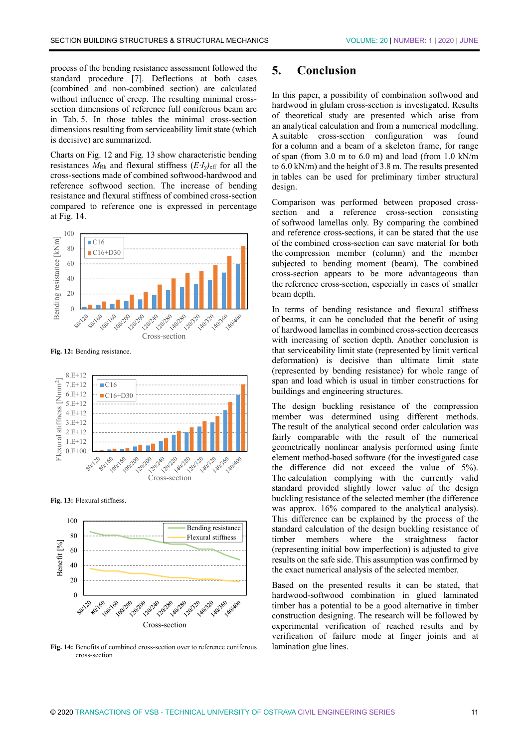process of the bending resistance assessment followed the standard procedure [7]. Deflections at both cases (combined and non-combined section) are calculated without influence of creep. The resulting minimal crosssection dimensions of reference full coniferous beam are in Tab. 5. In those tables the minimal cross-section dimensions resulting from serviceability limit state (which is decisive) are summarized.

Charts on Fig. 12 and Fig. 13 show characteristic bending resistances  $M_{\text{Rk}}$  and flexural stiffness  $(E \cdot I_{\text{y}})_{\text{eff}}$  for all the cross-sections made of combined softwood-hardwood and reference softwood section. The increase of bending resistance and flexural stiffness of combined cross-section compared to reference one is expressed in percentage at Fig. 14.



**Fig. 12:** Bending resistance.



**Fig. 13:** Flexural stiffness.



**Fig. 14:** Benefits of combined cross-section over to reference coniferous cross-section

## **5. Conclusion**

In this paper, a possibility of combination softwood and hardwood in glulam cross-section is investigated. Results of theoretical study are presented which arise from an analytical calculation and from a numerical modelling. A suitable cross-section configuration was found for a column and a beam of a skeleton frame, for range of span (from 3.0 m to 6.0 m) and load (from 1.0 kN/m to 6.0 kN/m) and the height of 3.8 m. The results presented in tables can be used for preliminary timber structural design.

Comparison was performed between proposed crosssection and a reference cross-section consisting of softwood lamellas only. By comparing the combined and reference cross-sections, it can be stated that the use of the combined cross-section can save material for both the compression member (column) and the member subjected to bending moment (beam). The combined cross-section appears to be more advantageous than the reference cross-section, especially in cases of smaller beam depth.

In terms of bending resistance and flexural stiffness of beams, it can be concluded that the benefit of using of hardwood lamellas in combined cross-section decreases with increasing of section depth. Another conclusion is that serviceability limit state (represented by limit vertical deformation) is decisive than ultimate limit state (represented by bending resistance) for whole range of span and load which is usual in timber constructions for buildings and engineering structures.

The design buckling resistance of the compression member was determined using different methods. The result of the analytical second order calculation was fairly comparable with the result of the numerical geometrically nonlinear analysis performed using finite element method-based software (for the investigated case the difference did not exceed the value of 5%). The calculation complying with the currently valid standard provided slightly lower value of the design buckling resistance of the selected member (the difference was approx. 16% compared to the analytical analysis). This difference can be explained by the process of the standard calculation of the design buckling resistance of timber members where the straightness factor (representing initial bow imperfection) is adjusted to give results on the safe side. This assumption was confirmed by the exact numerical analysis of the selected member.

Based on the presented results it can be stated, that hardwood-softwood combination in glued laminated timber has a potential to be a good alternative in timber construction designing. The research will be followed by experimental verification of reached results and by verification of failure mode at finger joints and at lamination glue lines.